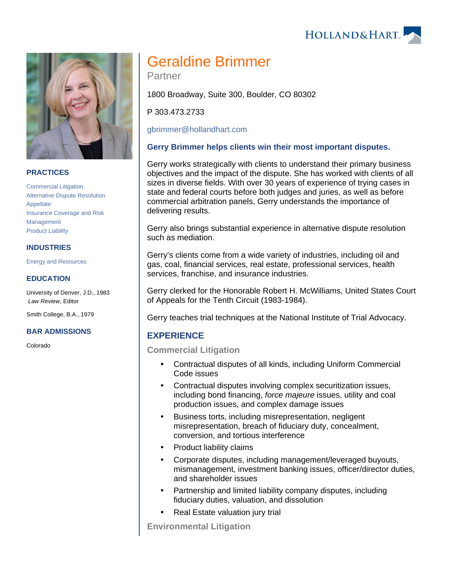



## **PRACTICES**

[Commercial Litigation](https://www.hollandhart.com/19684) [Alternative Dispute Resolution](https://www.hollandhart.com/19689) [Appellate](https://www.hollandhart.com/19686) [Insurance Coverage and Risk](https://www.hollandhart.com/19704)  [Management](https://www.hollandhart.com/19704) [Product Liability](https://www.hollandhart.com/19701)

## **INDUSTRIES**

[Energy and Resources](https://www.hollandhart.com/28508)

#### **EDUCATION**

University of Denver, J.D., 1983 Law Review, Editor

Smith College, B.A., 1979

#### **BAR ADMISSIONS**

Colorado

# Geraldine Brimmer

Partner

1800 Broadway, Suite 300, Boulder, CO 80302

P 303.473.2733

[gbrimmer@hollandhart.com](mailto:gbrimmer@hollandhart.com)

## **Gerry Brimmer helps clients win their most important disputes.**

Gerry works strategically with clients to understand their primary business objectives and the impact of the dispute. She has worked with clients of all sizes in diverse fields. With over 30 years of experience of trying cases in state and federal courts before both judges and juries, as well as before commercial arbitration panels, Gerry understands the importance of delivering results.

Gerry also brings substantial experience in alternative dispute resolution such as mediation.

Gerry's clients come from a wide variety of industries, including oil and gas, coal, financial services, real estate, professional services, health services, franchise, and insurance industries.

Gerry clerked for the Honorable Robert H. McWilliams, United States Court of Appeals for the Tenth Circuit (1983-1984).

Gerry teaches trial techniques at the National Institute of Trial Advocacy.

## **EXPERIENCE**

**Commercial Litigation**

- Contractual disputes of all kinds, including Uniform Commercial Code issues
- Contractual disputes involving complex securitization issues, including bond financing, force majeure issues, utility and coal production issues, and complex damage issues
- Business torts, including misrepresentation, negligent misrepresentation, breach of fiduciary duty, concealment, conversion, and tortious interference
- Product liability claims
- Corporate disputes, including management/leveraged buyouts, mismanagement, investment banking issues, officer/director duties, and shareholder issues
- Partnership and limited liability company disputes, including fiduciary duties, valuation, and dissolution
- Real Estate valuation jury trial

**Environmental Litigation**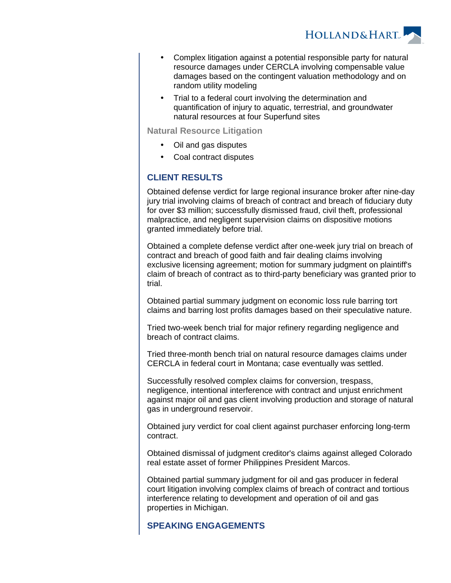

- Complex litigation against a potential responsible party for natural resource damages under CERCLA involving compensable value damages based on the contingent valuation methodology and on random utility modeling
- Trial to a federal court involving the determination and quantification of injury to aquatic, terrestrial, and groundwater natural resources at four Superfund sites

**Natural Resource Litigation**

- Oil and gas disputes
- Coal contract disputes

# **CLIENT RESULTS**

Obtained defense verdict for large regional insurance broker after nine-day jury trial involving claims of breach of contract and breach of fiduciary duty for over \$3 million; successfully dismissed fraud, civil theft, professional malpractice, and negligent supervision claims on dispositive motions granted immediately before trial.

Obtained a complete defense verdict after one-week jury trial on breach of contract and breach of good faith and fair dealing claims involving exclusive licensing agreement; motion for summary judgment on plaintiff's claim of breach of contract as to third-party beneficiary was granted prior to trial.

Obtained partial summary judgment on economic loss rule barring tort claims and barring lost profits damages based on their speculative nature.

Tried two-week bench trial for major refinery regarding negligence and breach of contract claims.

Tried three-month bench trial on natural resource damages claims under CERCLA in federal court in Montana; case eventually was settled.

Successfully resolved complex claims for conversion, trespass, negligence, intentional interference with contract and unjust enrichment against major oil and gas client involving production and storage of natural gas in underground reservoir.

Obtained jury verdict for coal client against purchaser enforcing long-term contract.

Obtained dismissal of judgment creditor's claims against alleged Colorado real estate asset of former Philippines President Marcos.

Obtained partial summary judgment for oil and gas producer in federal court litigation involving complex claims of breach of contract and tortious interference relating to development and operation of oil and gas properties in Michigan.

## **SPEAKING ENGAGEMENTS**